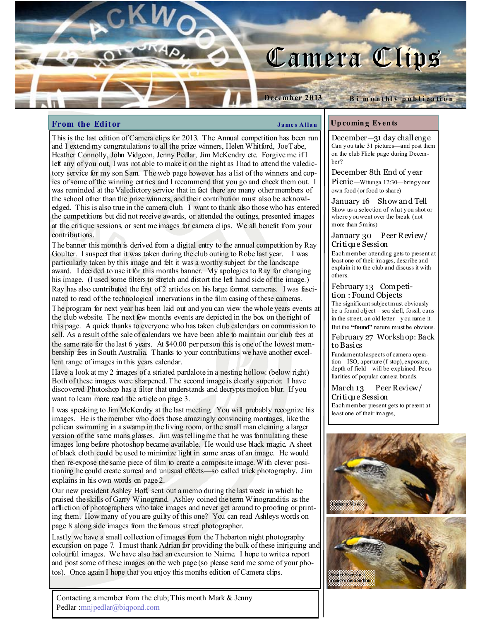# Camera Clips

#### **From the Editor**  $\qquad \qquad \qquad$  James Allan

Decemb er 2013

This is the last edition of Camera clips for 2013. The Annual competition has been run and I extend my congratulations to all the prize winners, Helen Whitford, Joe Tabe, Heather Connolly, John Vidgeon, Jenny Pedlar, Jim McKendry etc. Forgive me if I left any of you out, I was not able to make it on the night as I had to attend the valedictory service for my son Sam. The web page however has a list of the winners and copies of some of the winning entries and I recommend that you go and check them out. I was reminded at the Valedictory service that in fact there are many other members of the school other than the prize winners, and their contribution must also be acknowledged. This is also true in the camera club. I want to thank also those who has entered the competitions but did not receive awards, or attended the outings, presented images at the critique sessions, or sent me images for camera clips. We all benefit from your contributions.

The banner this month is derived from a digital entry to the annual competition by Ray Goulter. I suspect that it was taken during the club outing to Robe last year. I was particularly taken by this image and felt it was a worthy subject for the landscape award. I decided to use it for this months banner. My apologies to Ray for changing his image. (I used some filters to stretch and distort the left hand side of the image.) Ray has also contributed the first of 2 articles on his large format cameras. I was fascinated to read of the technological innervations in the film casing of these cameras.

The program for next year has been laid out and you can view the whole years events at the club website. The next few months events are depicted in the box on the right of this page. A quick thanks to everyone who has taken club calendars on commission to sell. As a result of the sale of calendars we have been able to maintain our club fees at the same rate for the last 6 years. At \$40.00 per person this is one of the lowest membership fees in South Australia. Thanks to your contributions we have another excellent range of images in this years calendar.

Have a look at my 2 images of a striated pardalote in a nesting hollow. (below right) Both of these images were sharpened. The second image is clearly superior. I have discovered Photoshop has a filter that understands and decrypts motion blur. If you want to learn more read the article on page 3.

I was speaking to Jim McKendry at the last meeting. You will probably recognize his images. He is the member who does those amazingly convincing montages, like the pelican swimming in a swamp in the living room, or the small man cleaning a larger version of the same mans glasses. Jim was telling me that he was formulating these images long before photoshop became available. He would use black magic. A sheet of black cloth could be used to minimize light in some areas of an image. He would then re-expose the same piece of film to create a composite image. With clever positioning he could create surreal and unusual effects—so called trick photography. Jim explains in his own words on page 2.

Our new president Ashley Hoff, sent out a memo during the last week in which he praised the skills of Garry Winogrand. Ashley coined the term Winogranditis as the affliction of photographers who take images and never get around to proofing or printing them. How many of you are guilty of this one? You can read Ashleys words on page 8 along side images from the famous street photographer.

Lastly we have a small collection of images from the Thebarton night photography excursion on page 7. I must thank Adrian for providing the bulk of these intriguing and colourful images. We have also had an excursion to Nairne. I hope to write a report and post some of these images on the web page (so please send me some of your photos). Once again I hope that you enjoy this months edition of Camera clips.

Contacting a member from the club; This month Mark & Jenny Pedlar :mnjpedlar@biqpond.com

#### Up comin g Even ts

December—31 day challenge Can y ou take 31 pictures—and post them on the club Flickr page during December?

B i m o n thly publication

#### December 8th End of year

Picnic—Witunga 12:30—bring y our own food (or food to share)

January 16 Show and Tell Show us a selection of what y ou shot or where y ou went over the break (not more than 5 mins)

#### January 30 Peer Review/ Critiqu e Session

Each member attending gets to present at least one of their images, describe and explain it to the club and discuss it with others.

#### February 13 Com petition : Found Objects

The significant subject must obviously be a found object – sea shell, fossil, cans in the street, an old letter – y ou name it.

But the "found" nature must be obvious. February 27 Workshop: Back to Basics

Fundamental aspects of camera operation – ISO, aperture (f stop), exposure, depth of field – will be explained. Peculiarities of popular camera brands.

March 13 Peer Review/ Critiqu e Session Each member present gets to present at least one of their images,

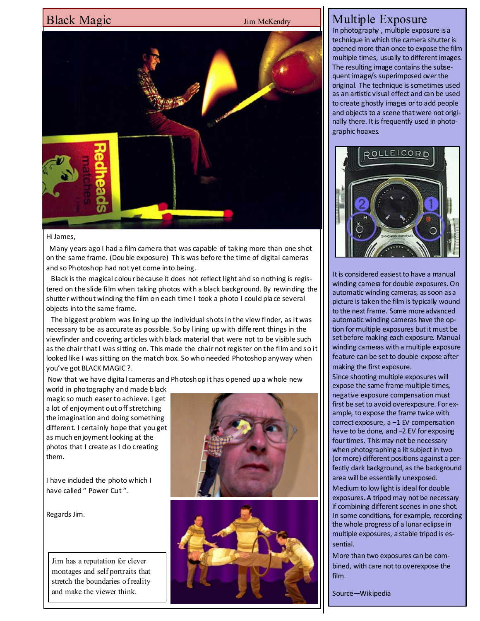# Black Magic Jim McKendry



#### Hi James,

 Many years ago I had a film camera that was capable of taking more than one shot on the same frame. (Double exposure) This was before the time of digital cameras and so Photoshop had not yet come into being.

 Black is the magical colour because it does not reflect light and so nothing is registered on the slide film when taking photos with a black background. By rewinding the shutter without winding the film on each time I took a photo I could pla ce several objects into the same frame.

 The biggest problem was lining up the individual shots in the view finder, as it was necessary to be as accurate as possible. So by lining up with different things in the viewfinder and covering articles with black material that were not to be visible such as the chair that I was sitting on. This made the chair not register on the film and so it looked like I was sitting on the match box. So who needed Photoshop anyway when you've got BLACK MAGIC ?.

Now that we have digita l cameras and Photoshop it has opened up a whole new

world in photography and made black magic so much easer to achieve. I get a lot of enjoyment out off stretching the imagination and doing something different. I certainly hope that you get as much enjoyment looking at the photos that I create as I do creating them.

I have included the photo which I have called " Power Cut ".

Regards Jim.

Jim has a reputation for clever montages and self portraits that stretch the boundaries of reality and make the viewer think.





# Multiple Exposure

In photography , multiple exposure is a technique in which the camera shutter is opened more than once to expose the film multiple times, usually to different images. The resulting image contains the subsequent image/s superimposed over the original. The technique is sometimes used as an artistic visual effect and can be used to create ghostly images or to add people and objects to a scene that were not originally there. It is frequently used in photographic hoaxes.



It is considered easiest to have a manual winding camera for double exposures. On automatic winding cameras, as soon as a picture is taken the film is typically wound to the next frame. Some more advanced automatic winding cameras have the option for multiple exposures but it must be set before making each exposure. Manual winding cameras with a multiple exposure feature can be set to double-expose after making the first exposure.

Since shooting multiple exposures will expose the same frame multiple times, negative exposure compensation must first be set to avoid overexposure. For example, to expose the frame twice with correct exposure, a −1 EV compensation have to be done, and −2 EV for exposing four times. This may not be necessary when photographing a lit subject in two (or more) different positions against a perfectly dark background, as the background area will be essentially unexposed. Medium to low light is ideal for double exposures. A tripod may not be necessary if combining different scenes in one shot. In some conditions, for example, recording the whole progress of a lunar eclipse in multiple exposures, a stable tripod is essential.

More than two exposures can be combined, with care not to overexpose the film.

Source—Wikipedia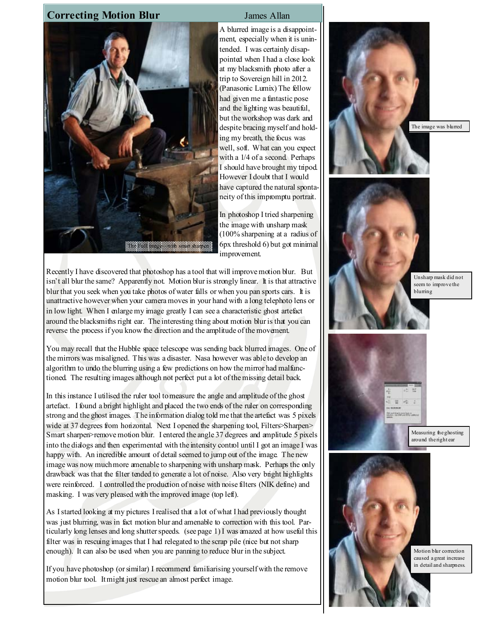## **Correcting Motion Blur** James Allan



A blurred image is a disappointment, especially when it is unintended. I was certainly disappointed when I had a close look at my blacksmith photo after a trip to Sovereign hill in 2012. (Panasonic Lumix) The fellow had given me a fantastic pose and the lighting was beautiful, but the workshop was dark and despite bracing myself and holding my breath, the focus was well, soft. What can you expect with a 1/4 of a second. Perhaps I should have brought my tripod. However I doubt that I would have captured the natural spontaneity of this impromptu portrait.

In photoshop I tried sharpening the image with unsharp mask (100% sharpening at a radius of 6px threshold 6) but got minimal improvement.

Recently I have discovered that photoshop has a tool that will improve motion blur. But isn't all blur the same? Apparently not. Motion blur is strongly linear. It is that attractive blur that you seek when you take photos of water falls or when you pan sports cars. It is unattractive however when your camera moves in your hand with a long telephoto lens or in low light. When I enlarge my image greatly I can see a characteristic ghost artefact around the blacksmiths right ear. The interesting thing about motion blur is that you can reverse the process if you know the direction and the amplitude of the movement.

You may recall that the Hubble space telescope was sending back blurred images. One of the mirrors was misaligned. This was a disaster. Nasa however was able to develop an algorithm to undo the blurring using a few predictions on how the mirror had malfunctioned. The resulting images although not perfect put a lot of the missing detail back.

In this instance I utilised the ruler tool to measure the angle and amplitude of the ghost artefact. I found a bright highlight and placed the two ends of the ruler on corresponding strong and the ghost images. The information dialog told me that the artefact was 5 pixels wide at 37 degrees from horizontal. Next I opened the sharpening tool, Filters>Sharpen> Smart sharpen>remove motion blur. I entered the angle 37 degrees and amplitude 5 pixels into the dialogs and then experimented with the intensity control until I got an image I was happy with. An incredible amount of detail seemed to jump out of the image. The new image was now much more amenable to sharpening with unsharp mask. Perhaps the only drawback was that the filter tended to generate a lot of noise. Also very bright highlights were reinforced. I controlled the production of noise with noise filters (NIK define) and masking. I was very pleased with the improved image (top left).

As I started looking at my pictures I realised that a lot of what I had previously thought was just blurring, was in fact motion blur and amenable to correction with this tool. Particularly long lenses and long shutter speeds. (see page 1) I was amazed at how useful this filter was in rescuing images that I had relegated to the scrap pile (nice but not sharp enough). It can also be used when you are panning to reduce blur in the subject.

If you have photoshop (or similar) I recommend familiarising yourself with the remove motion blur tool. It might just rescue an almost perfect image.

The image was blurred



Unsharp mask did not seem to improve the blurring



Measuring the ghosting around the right ear



Motion blur correction caused a great increase in detail and sharpness.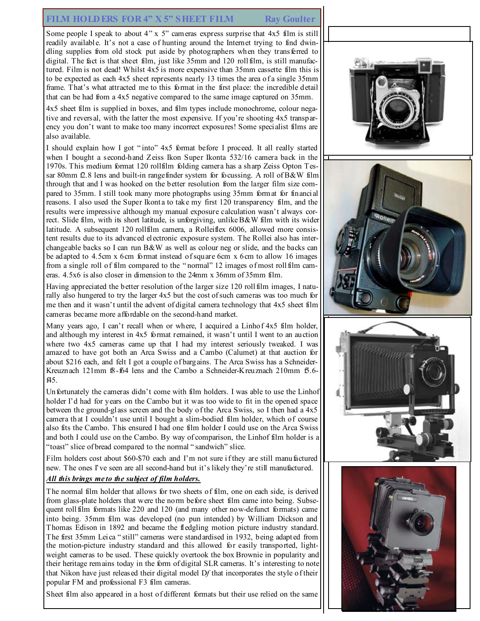## FILM HOLDERS FOR 4" X 5" SHEET FILM Ray Goulter

Some people I speak to about 4" x 5" cameras express surprise that 4x5 film is still readily available. It's not a case of hunting around the Internet trying to find dwindling supplies from old stock put aside by photographers when they transferred to digital. The fact is that sheet film, just like 35mm and 120 rollfilm, is still manufactured. Film is not dead! Whilst 4x5 is more expensive than 35mm cassette film this is to be expected as each 4x5 sheet represents nearly 13 times the area of a single 35mm frame. That's what attracted me to this format in the first place: the incredible detail that can be had from a 4x5 negative compared to the same image captured on 35mm.

4x5 sheet film is supplied in boxes, and film types include monochrome, colour negative and reversal, with the latter the most expensive. If you're shooting 4x5 transparency you don't want to make too many incorrect exposures! Some specialist films are also available.

I should explain how I got " into" 4x5 format before I proceed. It all really started when I bought a second-hand Zeiss Ikon Super Ikonta 532/16 camera back in the 1970s. This medium format 120 rollfilm folding camera has a sharp Zeiss Opton Tessar 80mm f2.8 lens and built-in rangefinder system for focussing. A roll of B&W film through that and I was hooked on the better resolution from the larger film size compared to 35mm. I still took many more photographs using 35mm format for financial reasons. I also used the Super Ikonta to take my first 120 transparency film, and the results were impressive although my manual exposure calculation wasn't always correct. Slide film, with its short latitude, is unforgiving, unlike B&W film with its wider latitude. A subsequent 120 rollfilm camera, a Rolleiflex 6006, allowed more consistent results due to its advanced electronic exposure system. The Rollei also has interchangeable backs so I can run  $B\&W$  as well as colour neg or slide, and the backs can be adapted to 4.5cm x 6cm format instead of square 6cm x 6cm to allow 16 images from a single roll of film compared to the " normal" 12 images of most rollfilm cameras. 4.5x6 is also closer in dimension to the 24mm x 36mm of 35mm film.

Having appreciated the better resolution of the larger size 120 rollfilm images, I naturally also hungered to try the larger 4x5 but the cost of such cameras was too much for me then and it wasn't until the advent of digital camera technology that 4x5 sheet film cameras became more affordable on the second-hand market.

Many years ago, I can't recall when or where, I acquired a Linhof 4x5 film holder, and although my interest in 4x5 format remained, it wasn't until I went to an auction where two 4x5 cameras came up that I had my interest seriously tweaked. I was amazed to have got both an Arca Swiss and a Cambo (Calumet) at that auction for about \$216 each, and felt I got a couple of bargains. The Arca Swiss has a Schneider-Kreuznach 121mm f8-f64 lens and the Cambo a Schneider-Kreuznach 210mm f5.6f45.

Unfortunately the cameras didn't come with film holders. I was able to use the Linhof holder I'd had for years on the Cambo but it was too wide to fit in the opened space between the ground-glass screen and the body of the Arca Swiss, so I then had a 4x5 camera that I couldn't use until I bought a slim-bodied film holder, which of course also fits the Cambo. This ensured I had one film holder I could use on the Arca Swiss and both I could use on the Cambo. By way of comparison, the Linhof film holder is a "toast" slice of bread compared to the normal " sandwich" slice.

Film holders cost about \$60-\$70 each and I'm not sure if they are still manufactured new. The ones I've seen are all second-hand but it's likely they're still manufactured.

#### All this brings me to the subject of film holders.

The normal film holder that allows for two sheets of film, one on each side, is derived from glass-plate holders that were the norm before sheet film came into being. Subsequent rollfilm formats like 220 and 120 (and many other now-defunct formats) came into being. 35mm film was developed (no pun intended) by William Dickson and Thomas Edison in 1892 and became the fledgling motion picture industry standard. The first 35mm Leica " still" cameras were standardised in 1932, being adapted from the motion-picture industry standard and this allowed for easily transported, lightweight cameras to be used. These quickly overtook the box Brownie in popularity and their heritage remains today in the form of digital SLR cameras. It's interesting to note that Nikon have just released their digital model Df that incorporates the style of their popular FM and professional F3 film cameras.

Sheet film also appeared in a host of different formats but their use relied on the same

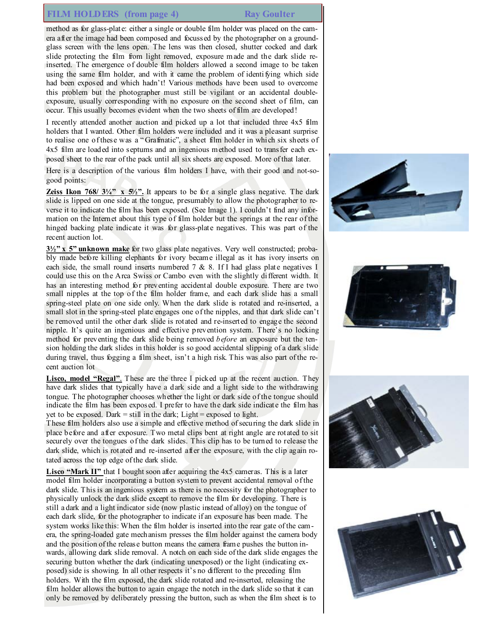# FILM HOLDERS (from page 4) Ray Goulter

method as for glass-plate: either a single or double film holder was placed on the camera after the image had been composed and focussed by the photographer on a groundglass screen with the lens open. The lens was then closed, shutter cocked and dark slide protecting the film from light removed, exposure made and the dark slide reinserted. The emergence of double film holders allowed a second image to be taken using the same film holder, and with it came the problem of identifying which side had been exposed and which hadn't! Various methods have been used to overcome this problem but the photographer must still be vigilant or an accidental doubleexposure, usually corresponding with no exposure on the second sheet of film, can occur. This usually becomes evident when the two sheets of film are developed!

I recently attended another auction and picked up a lot that included three 4x5 film holders that I wanted. Other film holders were included and it was a pleasant surprise to realise one of these was a " Grafmatic", a sheet film holder in which six sheets of 4x5 film are loaded into septums and an ingenious method used to transfer each exposed sheet to the rear of the pack until all six sheets are exposed. More of that later.

Here is a description of the various film holders I have, with their good and not-sogood points:

**Zeiss Ikon 768/ 3¼" x 5½".** It appears to be for a single glass negative. The dark slide is lipped on one side at the tongue, presumably to allow the photographer to reverse it to indicate the film has been exposed. (See Image 1). I couldn't find any information on the Internet about this type of film holder but the springs at the rear of the hinged backing plate indicate it was for glass-plate negatives. This was part of the recent auction lot.

 $3\frac{1}{2}$ " x 5" unknown make for two glass plate negatives. Very well constructed; probably made before killing elephants for ivory became illegal as it has ivory inserts on each side, the small round inserts numbered  $7 \& 8$ . If I had glass plate negatives I could use this on the Arca Swiss or Cambo even with the slightly different width. It has an interesting method for preventing accidental double exposure. There are two small nipples at the top of the film holder frame, and each dark slide has a small spring-steel plate on one side only. When the dark slide is rotated and re-inserted, a small slot in the spring-steel plate engages one of the nipples, and that dark slide can't be removed until the other dark slide is rotated and re-inserted to engage the second nipple. It's quite an ingenious and effective prevention system. There's no locking method for preventing the dark slide being removed *before* an exposure but the tension holding the dark slides in this holder is so good accidental slipping of a dark slide during travel, thus fogging a film sheet, isn't a high risk. This was also part of the recent auction lot

Lisco, model "Regal". These are the three I picked up at the recent auction. They have dark slides that typically have a dark side and a light side to the withdrawing tongue. The photographer chooses whether the light or dark side of the tongue should indicate the film has been exposed. I prefer to have the dark side indicate the film has yet to be exposed. Dark = still in the dark; Light = exposed to light.

These film holders also use a simple and effective method of securing the dark slide in place before and after exposure. Two metal clips bent at right angle are rotated to sit securely over the tongues of the dark slides. This clip has to be turned to release the dark slide, which is rotated and re-inserted after the exposure, with the clip again rotated across the top edge of the dark slide.

Lisco "Mark II" that I bought soon after acquiring the 4x5 cameras. This is a later model film holder incorporating a button system to prevent accidental removal of the dark slide. This is an ingenious system as there is no necessity for the photographer to physically unlock the dark slide except to remove the film for developing. There is still a dark and a light indicator side (now plastic instead of alloy) on the tongue of each dark slide, for the photographer to indicate if an exposure has been made. The system works like this: When the film holder is inserted into the rear gate of the camera, the spring-loaded gate mechanism presses the film holder against the camera body and the position of the release button means the camera frame pushes the button inwards, allowing dark slide removal. A notch on each side of the dark slide engages the securing button whether the dark (indicating unexposed) or the light (indicating exposed) side is showing. In all other respects it's no different to the preceding film holders. With the film exposed, the dark slide rotated and re-inserted, releasing the film holder allows the button to again engage the notch in the dark slide so that it can only be removed by deliberately pressing the button, such as when the film sheet is to







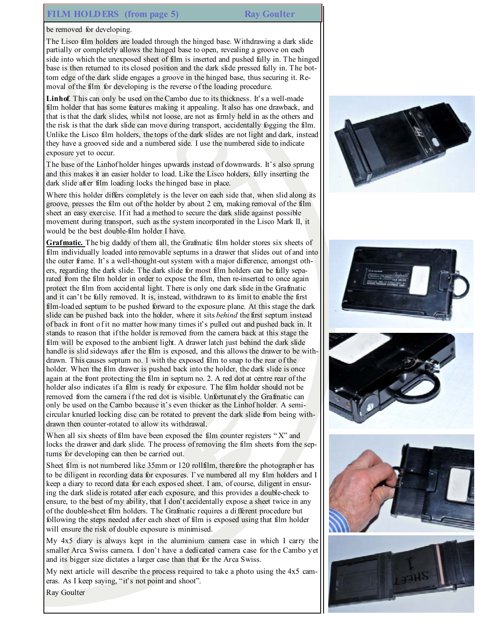# FILM HOLDERS (from page 5) Ray Goulter

be removed for developing.

The Lisco film holders are loaded through the hinged base. Withdrawing a dark slide partially or completely allows the hinged base to open, revealing a groove on each side into which the unexposed sheet of film is inserted and pushed fully in. The hinged base is then returned to its closed position and the dark slide pressed fully in. The bottom edge of the dark slide engages a groove in the hinged base, thus securing it. Removal of the film for developing is the reverse of the loading procedure.

Linhof. This can only be used on the Cambo due to its thickness. It's a well-made film holder that has some features making it appealing. It also has one drawback, and that is that the dark slides, whilst not loose, are not as firmly held in as the others and the risk is that the dark slide can move during transport, accidentally fogging the film. Unlike the Lisco film holders, the tops of the dark slides are not light and dark, instead they have a grooved side and a numbered side. I use the numbered side to indicate exposure yet to occur.

The base of the Linhof holder hinges upwards instead of downwards. It's also sprung and this makes it an easier holder to load. Like the Lisco holders, fully inserting the dark slide after film loading locks the hinged base in place.

Where this holder differs completely is the lever on each side that, when slid along its groove, presses the film out of the holder by about 2 cm, making removal of the film sheet an easy exercise. If it had a method to secure the dark slide against possible movement during transport, such as the system incorporated in the Lisco Mark II, it would be the best double-film holder I have.

Grafmatic. The big daddy of them all, the Grafmatic film holder stores six sheets of film individually loaded into removable septums in a drawer that slides out of and into the outer frame. It's a well-thought-out system with a major difference, amongst others, regarding the dark slide. The dark slide for most film holders can be fully separated from the film holder in order to expose the film, then re-inserted to once again protect the film from accidental light. There is only one dark slide in the Grafmatic and it can't be fully removed. It is, instead, withdrawn to its limit to enable the first film-loaded septum to be pushed forward to the exposure plane. At this stage the dark slide can be pushed back into the holder, where it sits *behind* the first septum instead of back in front of it no matter how many times it's pulled out and pushed back in. It stands to reason that if the holder is removed from the camera back at this stage the film will be exposed to the ambient light. A drawer latch just behind the dark slide handle is slid sideways after the film is exposed, and this allows the drawer to be withdrawn. This causes septum no. 1 with the exposed film to snap to the rear of the holder. When the film drawer is pushed back into the holder, the dark slide is once again at the front protecting the film in septum no. 2. A red dot at centre rear of the holder also indicates if a film is ready for exposure. The film holder should not be removed from the camera if the red dot is visible. Unfortunately the Grafmatic can only be used on the Cambo because it's even thicker as the Linhof holder. A semicircular knurled locking disc can be rotated to prevent the dark slide from being withdrawn then counter-rotated to allow its withdrawal.

When all six sheets of film have been exposed the film counter registers "X" and locks the drawer and dark slide. The process of removing the film sheets from the septums for developing can then be carried out.

Sheet film is not numbered like 35mm or 120 rollfilm, therefore the photographer has to be diligent in recording data for exposures. I've numbered all my film holders and I keep a diary to record data for each exposed sheet. I am, of course, diligent in ensuring the dark slide is rotated after each exposure, and this provides a double-check to ensure, to the best of my ability, that I don't accidentally expose a sheet twice in any of the double-sheet film holders. The Grafmatic requires a different procedure but following the steps needed after each sheet of film is exposed using that film holder will ensure the risk of double exposure is minimised.

My 4x5 diary is always kept in the aluminium camera case in which I carry the smaller Arca Swiss camera. I don't have a dedicated camera case for the Cambo yet and its bigger size dictates a larger case than that for the Arca Swiss.

My next article will describe the process required to take a photo using the 4x5 cameras. As I keep saying, "it's not point and shoot".











Ray Goulter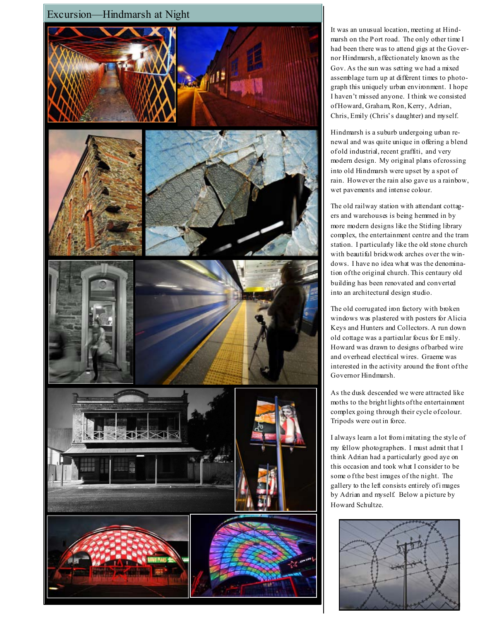

It was an unusual location, meeting at Hindmarsh on the Port road. The only other time I had been there was to attend gigs at the Governor Hindmarsh, affectionately known as the Gov. As the sun was setting we had a mixed assemblage turn up at different times to photograph this uniquely urban environment. I hope I haven't missed anyone. I think we consisted of Howard, Graham, Ron, Kerry, Adrian, Chris, Emily (Chris's daughter) and myself.

Hindmarsh is a suburb undergoing urban renewal and was quite unique in offering a blend of old industrial, recent graffiti, and very modern design. My original plans of crossing into old Hindmarsh were upset by a spot of rain. However the rain also gave us a rainbow, wet pavements and intense colour.

The old railway station with attendant cottagers and warehouses is being hemmed in by more modern designs like the Stirling library complex, the entertainment centre and the tram station. I particularly like the old stone church with beautiful brickwork arches over the windows. I have no idea what was the denomination of the original church. This centaury old building has been renovated and converted into an architectural design studio.

The old corrugated iron factory with broken windows was plastered with posters for Alicia Keys and Hunters and Collectors. A run down old cottage was a particular focus for E mily. Howard was drawn to designs of barbed wire and overhead electrical wires. Graeme was interested in the activity around the front of the Governor Hindmarsh.

As the dusk descended we were attracted like moths to the bright lights of the entertainment complex going through their cycle of colour. Tripods were out in force.

I always learn a lot from i mitating the style of my fellow photographers. I must admit that I think Adrian had a particularly good aye on this occasion and took what I consider to be some o f the best images of the night. The gallery to the left consists entirely of i mages by Adrian and myself. Below a picture by Howard Schultze.